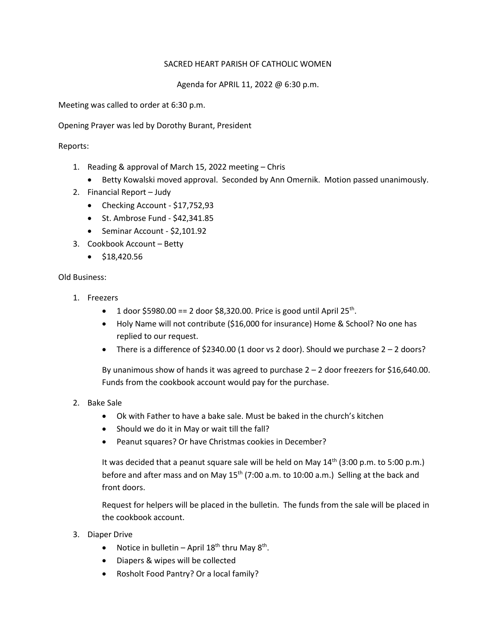### SACRED HEART PARISH OF CATHOLIC WOMEN

Agenda for APRIL 11, 2022 @ 6:30 p.m.

Meeting was called to order at 6:30 p.m.

Opening Prayer was led by Dorothy Burant, President

# Reports:

- 1. Reading & approval of March 15, 2022 meeting Chris
	- Betty Kowalski moved approval. Seconded by Ann Omernik. Motion passed unanimously.
- 2. Financial Report Judy
	- Checking Account \$17,752,93
	- St. Ambrose Fund \$42,341.85
	- Seminar Account \$2,101.92
- 3. Cookbook Account Betty
	- $\bullet$  \$18,420.56

# Old Business:

- 1. Freezers
	- 1 door \$5980.00 == 2 door \$8,320.00. Price is good until April 25<sup>th</sup>.
	- Holy Name will not contribute (\$16,000 for insurance) Home & School? No one has replied to our request.
	- There is a difference of \$2340.00 (1 door vs 2 door). Should we purchase  $2 2$  doors?

By unanimous show of hands it was agreed to purchase 2 – 2 door freezers for \$16,640.00. Funds from the cookbook account would pay for the purchase.

- 2. Bake Sale
	- Ok with Father to have a bake sale. Must be baked in the church's kitchen
	- Should we do it in May or wait till the fall?
	- Peanut squares? Or have Christmas cookies in December?

It was decided that a peanut square sale will be held on May  $14<sup>th</sup>$  (3:00 p.m. to 5:00 p.m.) before and after mass and on May  $15<sup>th</sup>$  (7:00 a.m. to 10:00 a.m.) Selling at the back and front doors.

Request for helpers will be placed in the bulletin. The funds from the sale will be placed in the cookbook account.

- 3. Diaper Drive
	- Notice in bulletin April  $18<sup>th</sup>$  thru May  $8<sup>th</sup>$ .
	- Diapers & wipes will be collected
	- Rosholt Food Pantry? Or a local family?